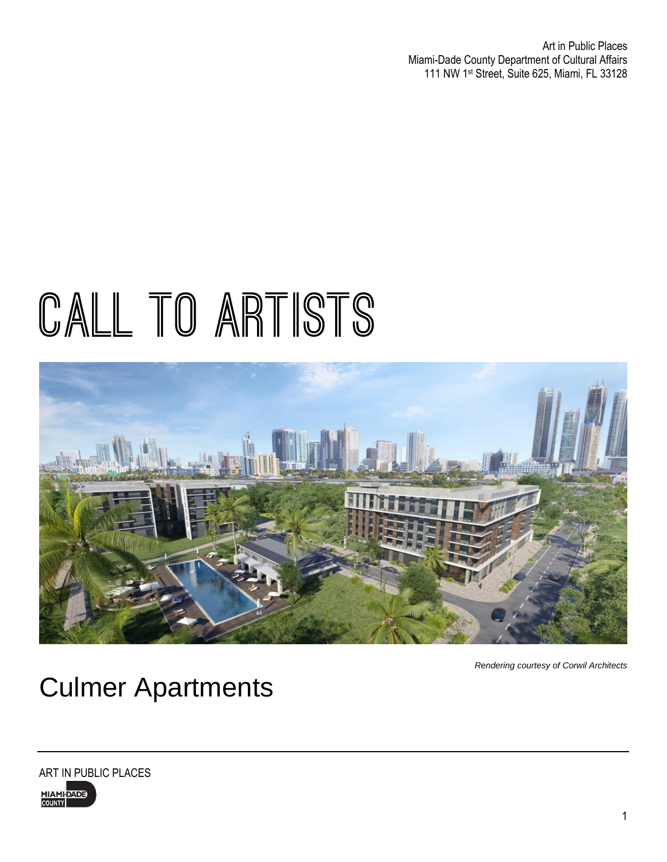Art in Public Places Miami-Dade County Department of Cultural Affairs 111 NW 1 st Street, Suite 625, Miami, FL 33128

# CALL TO ARTISTS



*Rendering courtesy of Corwil Architects*

### Culmer Apartments

ART IN PUBLIC PLACES

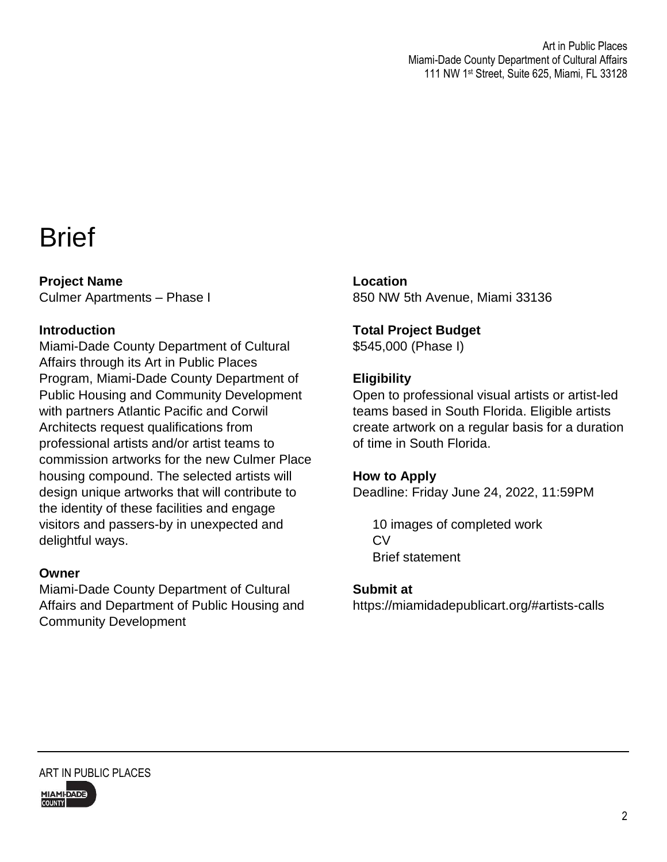### **Brief**

**Project Name**  Culmer Apartments – Phase I

### **Introduction**

Miami-Dade County Department of Cultural Affairs through its Art in Public Places Program, Miami-Dade County Department of Public Housing and Community Development with partners Atlantic Pacific and Corwil Architects request qualifications from professional artists and/or artist teams to commission artworks for the new Culmer Place housing compound. The selected artists will design unique artworks that will contribute to the identity of these facilities and engage visitors and passers-by in unexpected and delightful ways.

### **Owner**

Miami-Dade County Department of Cultural Affairs and Department of Public Housing and Community Development

**Location** 850 NW 5th Avenue, Miami 33136

### **Total Project Budget**

\$545,000 (Phase I)

### **Eligibility**

Open to professional visual artists or artist-led teams based in South Florida. Eligible artists create artwork on a regular basis for a duration of time in South Florida.

### **How to Apply**

Deadline: Friday June 24, 2022, 11:59PM

10 images of completed work CV Brief statement

#### **Submit at**

https://miamidadepublicart.org/#artists-calls

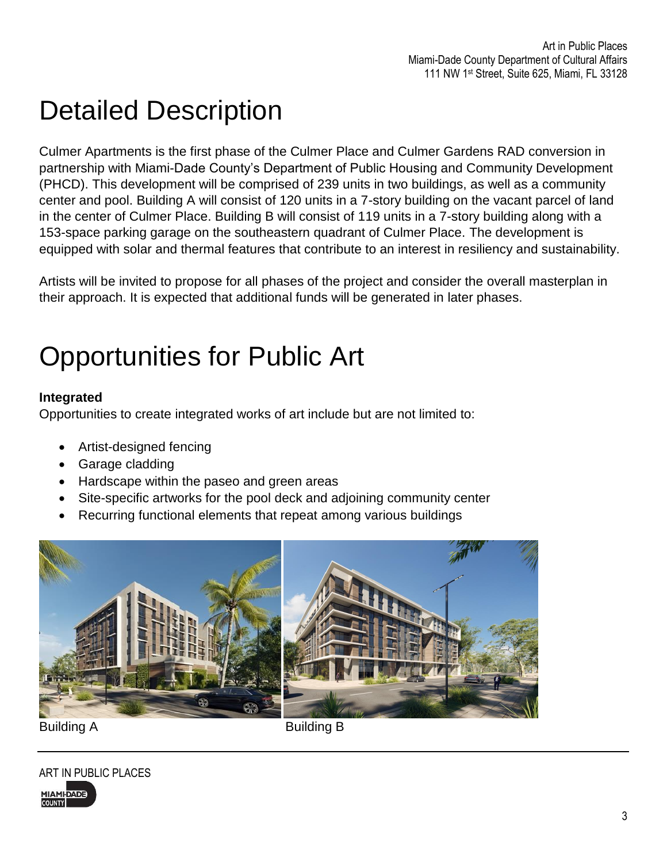### Detailed Description

Culmer Apartments is the first phase of the Culmer Place and Culmer Gardens RAD conversion in partnership with Miami-Dade County's Department of Public Housing and Community Development (PHCD). This development will be comprised of 239 units in two buildings, as well as a community center and pool. Building A will consist of 120 units in a 7-story building on the vacant parcel of land in the center of Culmer Place. Building B will consist of 119 units in a 7-story building along with a 153-space parking garage on the southeastern quadrant of Culmer Place. The development is equipped with solar and thermal features that contribute to an interest in resiliency and sustainability.

Artists will be invited to propose for all phases of the project and consider the overall masterplan in their approach. It is expected that additional funds will be generated in later phases.

# Opportunities for Public Art

### **Integrated**

Opportunities to create integrated works of art include but are not limited to:

- Artist-designed fencing
- Garage cladding
- Hardscape within the paseo and green areas
- Site-specific artworks for the pool deck and adjoining community center
- Recurring functional elements that repeat among various buildings



ART IN PUBLIC PLACES **MIAMI-DADE COUNTY**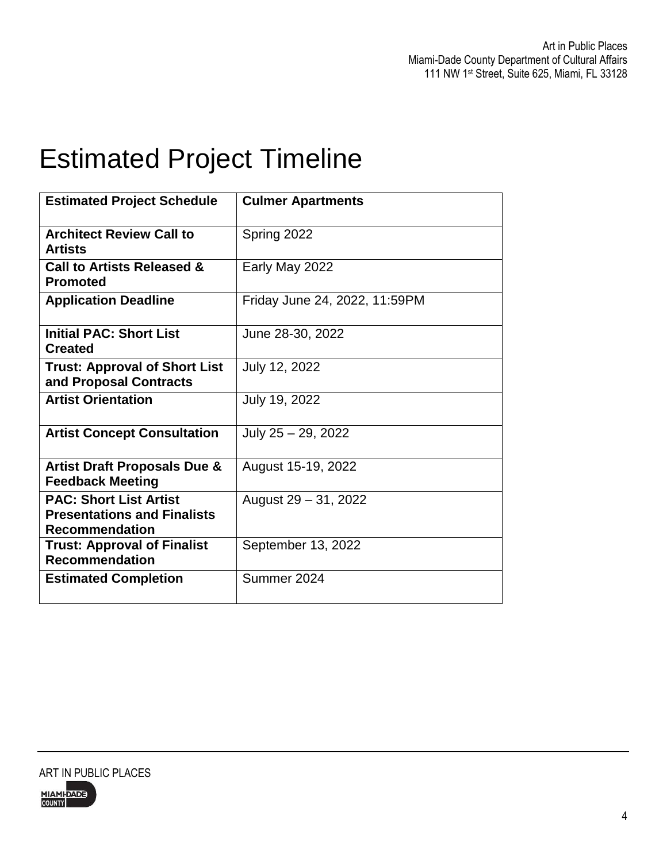### Estimated Project Timeline

| <b>Estimated Project Schedule</b>                                                            | <b>Culmer Apartments</b>      |
|----------------------------------------------------------------------------------------------|-------------------------------|
| <b>Architect Review Call to</b><br><b>Artists</b>                                            | Spring 2022                   |
| Call to Artists Released &<br><b>Promoted</b>                                                | Early May 2022                |
| <b>Application Deadline</b>                                                                  | Friday June 24, 2022, 11:59PM |
| <b>Initial PAC: Short List</b><br><b>Created</b>                                             | June 28-30, 2022              |
| <b>Trust: Approval of Short List</b><br>and Proposal Contracts                               | July 12, 2022                 |
| <b>Artist Orientation</b>                                                                    | July 19, 2022                 |
| <b>Artist Concept Consultation</b>                                                           | July 25 - 29, 2022            |
| <b>Artist Draft Proposals Due &amp;</b><br><b>Feedback Meeting</b>                           | August 15-19, 2022            |
| <b>PAC: Short List Artist</b><br><b>Presentations and Finalists</b><br><b>Recommendation</b> | August 29 - 31, 2022          |
| <b>Trust: Approval of Finalist</b><br><b>Recommendation</b>                                  | September 13, 2022            |
| <b>Estimated Completion</b>                                                                  | Summer 2024                   |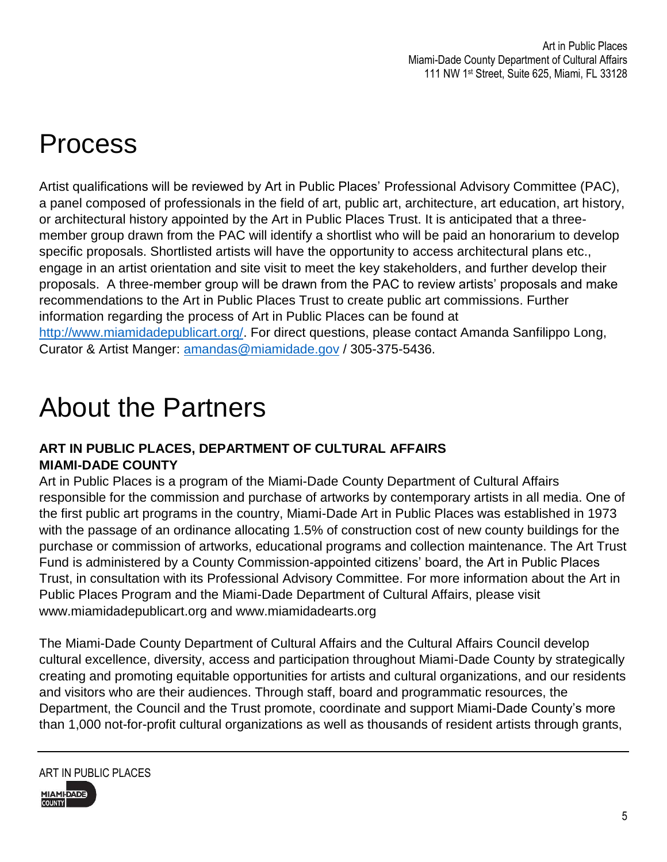# Process

Artist qualifications will be reviewed by Art in Public Places' Professional Advisory Committee (PAC), a panel composed of professionals in the field of art, public art, architecture, art education, art history, or architectural history appointed by the Art in Public Places Trust. It is anticipated that a threemember group drawn from the PAC will identify a shortlist who will be paid an honorarium to develop specific proposals. Shortlisted artists will have the opportunity to access architectural plans etc., engage in an artist orientation and site visit to meet the key stakeholders, and further develop their proposals. A three-member group will be drawn from the PAC to review artists' proposals and make recommendations to the Art in Public Places Trust to create public art commissions. Further information regarding the process of Art in Public Places can be found at [http://www.miamidadepublicart.org/.](http://www.miamidadepublicart.org/) For direct questions, please contact Amanda Sanfilippo Long, Curator & Artist Manger: [amandas@miamidade.gov](mailto:amandas@miamidade.gov) / 305-375-5436.

### About the Partners

### **ART IN PUBLIC PLACES, DEPARTMENT OF CULTURAL AFFAIRS MIAMI-DADE COUNTY**

Art in Public Places is a program of the Miami-Dade County Department of Cultural Affairs responsible for the commission and purchase of artworks by contemporary artists in all media. One of the first public art programs in the country, Miami-Dade Art in Public Places was established in 1973 with the passage of an ordinance allocating 1.5% of construction cost of new county buildings for the purchase or commission of artworks, educational programs and collection maintenance. The Art Trust Fund is administered by a County Commission-appointed citizens' board, the Art in Public Places Trust, in consultation with its Professional Advisory Committee. For more information about the Art in Public Places Program and the Miami-Dade Department of Cultural Affairs, please visit www.miamidadepublicart.org and www.miamidadearts.org

The Miami-Dade County Department of Cultural Affairs and the Cultural Affairs Council develop cultural excellence, diversity, access and participation throughout Miami-Dade County by strategically creating and promoting equitable opportunities for artists and cultural organizations, and our residents and visitors who are their audiences. Through staff, board and programmatic resources, the Department, the Council and the Trust promote, coordinate and support Miami-Dade County's more than 1,000 not-for-profit cultural organizations as well as thousands of resident artists through grants,



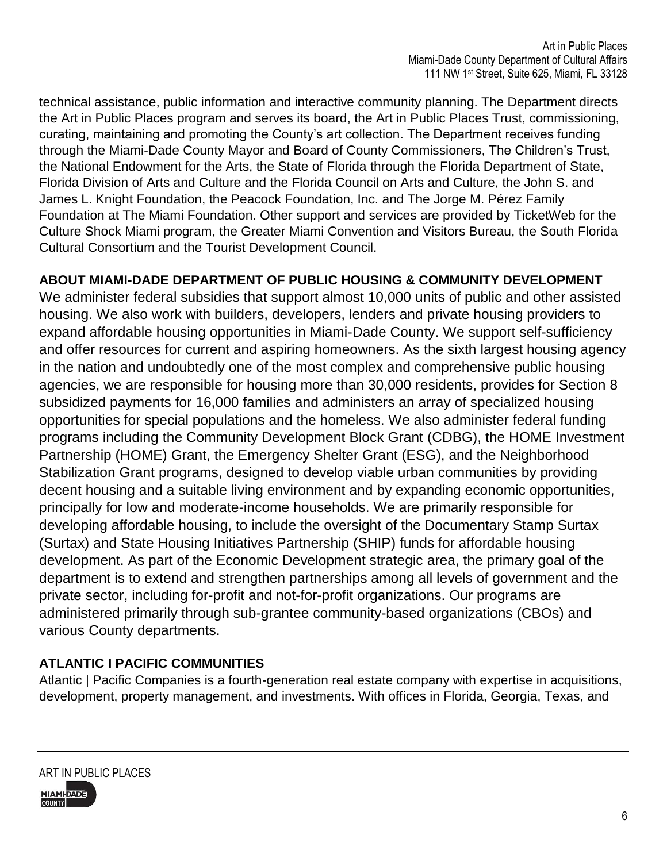technical assistance, public information and interactive community planning. The Department directs the Art in Public Places program and serves its board, the Art in Public Places Trust, commissioning, curating, maintaining and promoting the County's art collection. The Department receives funding through the Miami-Dade County Mayor and Board of County Commissioners, The Children's Trust, the National Endowment for the Arts, the State of Florida through the Florida Department of State, Florida Division of Arts and Culture and the Florida Council on Arts and Culture, the John S. and James L. Knight Foundation, the Peacock Foundation, Inc. and The Jorge M. Pérez Family Foundation at The Miami Foundation. Other support and services are provided by TicketWeb for the Culture Shock Miami program, the Greater Miami Convention and Visitors Bureau, the South Florida Cultural Consortium and the Tourist Development Council.

### **ABOUT MIAMI-DADE DEPARTMENT OF PUBLIC HOUSING & COMMUNITY DEVELOPMENT**

We administer federal subsidies that support almost 10,000 units of public and other assisted housing. We also work with builders, developers, lenders and private housing providers to expand affordable housing opportunities in Miami-Dade County. We support self-sufficiency and offer resources for current and aspiring homeowners. As the sixth largest housing agency in the nation and undoubtedly one of the most complex and comprehensive public housing agencies, we are responsible for housing more than 30,000 residents, provides for Section 8 subsidized payments for 16,000 families and administers an array of specialized housing opportunities for special populations and the homeless. We also administer federal funding programs including the Community Development Block Grant (CDBG), the HOME Investment Partnership (HOME) Grant, the Emergency Shelter Grant (ESG), and the Neighborhood Stabilization Grant programs, designed to develop viable urban communities by providing decent housing and a suitable living environment and by expanding economic opportunities, principally for low and moderate-income households. We are primarily responsible for developing affordable housing, to include the oversight of the Documentary Stamp Surtax (Surtax) and State Housing Initiatives Partnership (SHIP) funds for affordable housing development. As part of the Economic Development strategic area, the primary goal of the department is to extend and strengthen partnerships among all levels of government and the private sector, including for-profit and not-for-profit organizations. Our programs are administered primarily through sub-grantee community-based organizations (CBOs) and various County departments.

### **ATLANTIC I PACIFIC COMMUNITIES**

Atlantic | Pacific Companies is a fourth-generation real estate company with expertise in acquisitions, development, property management, and investments. With offices in Florida, Georgia, Texas, and